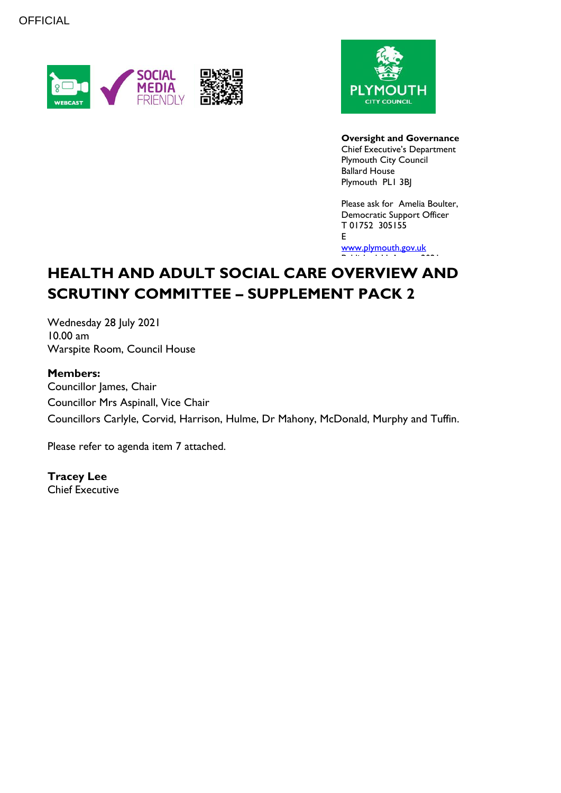



**Oversight and Governance** Chief Executive's Department Plymouth City Council Ballard House Plymouth PL1 3BJ

Please ask for Amelia Boulter, Democratic Support Officer T 01752 305155 E

[www.plymouth.gov.uk](https://www.plymouth.gov.uk/councillorscommitteesandmeetings) Published 11 August 2021

# **HEALTH AND ADULT SOCIAL CARE OVERVIEW AND SCRUTINY COMMITTEE – SUPPLEMENT PACK 2**

Wednesday 28 July 2021 10.00 am Warspite Room, Council House

### **Members:**

Councillor James, Chair Councillor Mrs Aspinall, Vice Chair Councillors Carlyle, Corvid, Harrison, Hulme, Dr Mahony, McDonald, Murphy and Tuffin.

Please refer to agenda item 7 attached.

**Tracey Lee** Chief Executive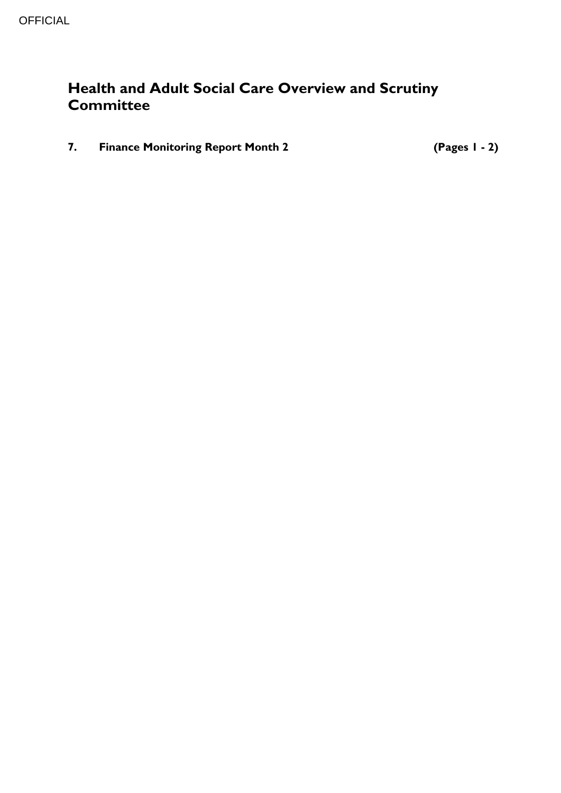## **Health and Adult Social Care Overview and Scrutiny Committee**

**7. Finance Monitoring Report Month 2 (Pages 1 - 2)**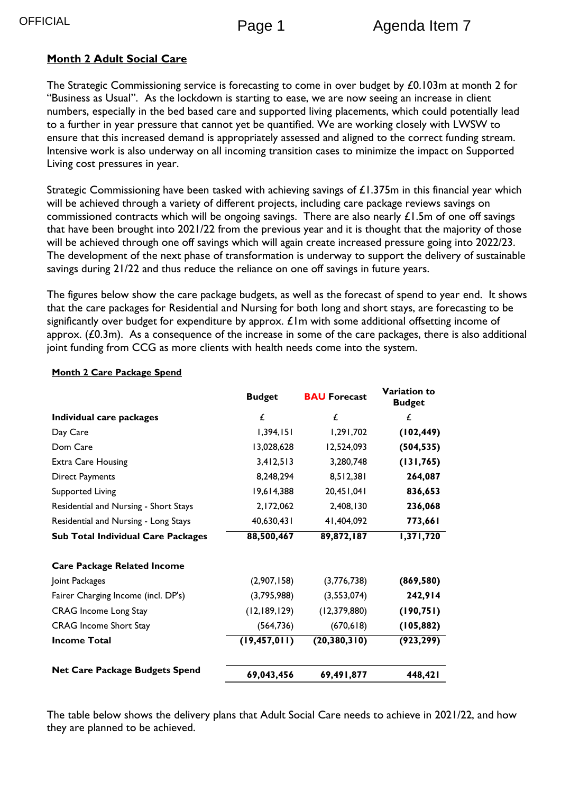## **Month 2 Adult Social Care**

The Strategic Commissioning service is forecasting to come in over budget by £0.103m at month 2 for "Business as Usual". As the lockdown is starting to ease, we are now seeing an increase in client numbers, especially in the bed based care and supported living placements, which could potentially lead to a further in year pressure that cannot yet be quantified. We are working closely with LWSW to ensure that this increased demand is appropriately assessed and aligned to the correct funding stream. Intensive work is also underway on all incoming transition cases to minimize the impact on Supported Living cost pressures in year.

Strategic Commissioning have been tasked with achieving savings of £1.375m in this financial year which will be achieved through a variety of different projects, including care package reviews savings on commissioned contracts which will be ongoing savings. There are also nearly  $\pounds1.5$ m of one off savings that have been brought into 2021/22 from the previous year and it is thought that the majority of those will be achieved through one off savings which will again create increased pressure going into 2022/23. The development of the next phase of transformation is underway to support the delivery of sustainable savings during 21/22 and thus reduce the reliance on one off savings in future years.

The figures below show the care package budgets, as well as the forecast of spend to year end. It shows that the care packages for Residential and Nursing for both long and short stays, are forecasting to be significantly over budget for expenditure by approx.  $E$ Im with some additional offsetting income of approx. (£0.3m). As a consequence of the increase in some of the care packages, there is also additional joint funding from CCG as more clients with health needs come into the system.

|                                           | <b>Budget</b>  | <b>BAU Forecast</b> | <b>Variation to</b><br><b>Budget</b> |
|-------------------------------------------|----------------|---------------------|--------------------------------------|
| Individual care packages                  | £              | £                   | £                                    |
| Day Care                                  | 1,394,151      | 1,291,702           | (102, 449)                           |
| Dom Care                                  | 13,028,628     | 12,524,093          | (504, 535)                           |
| <b>Extra Care Housing</b>                 | 3,412,513      | 3,280,748           | (131, 765)                           |
| <b>Direct Payments</b>                    | 8,248,294      | 8,512,381           | 264,087                              |
| <b>Supported Living</b>                   | 19,614,388     | 140, 150, 20, 20    | 836,653                              |
| Residential and Nursing - Short Stays     | 2,172,062      | 2,408,130           | 236,068                              |
| Residential and Nursing - Long Stays      | 40,630,431     | 41,404,092          | 773,661                              |
| <b>Sub Total Individual Care Packages</b> | 88,500,467     | 89,872,187          | 1,371,720                            |
| <b>Care Package Related Income</b>        |                |                     |                                      |
| Joint Packages                            | (2,907,158)    | (3,776,738)         | (869, 580)                           |
| Fairer Charging Income (incl. DP's)       | (3,795,988)    | (3,553,074)         | 242,914                              |
| <b>CRAG</b> Income Long Stay              | (12, 189, 129) | (12, 379, 880)      | (190, 751)                           |
| <b>CRAG</b> Income Short Stay             | (564, 736)     | (670, 618)          | (105, 882)                           |
| <b>Income Total</b>                       | (19, 457, 011) | (20, 380, 310)      | (923, 299)                           |
| <b>Net Care Package Budgets Spend</b>     | 69,043,456     | 69,491,877          | 448,421                              |

#### **Month 2 Care Package Spend**

The table below shows the delivery plans that Adult Social Care needs to achieve in 2021/22, and how they are planned to be achieved.